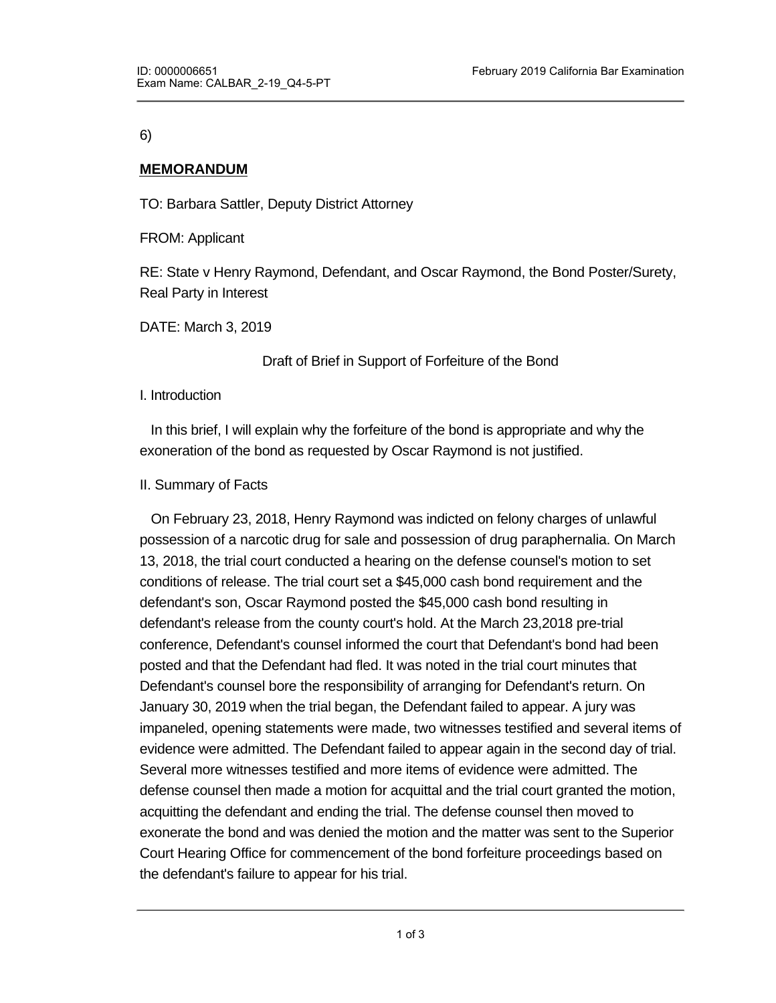6)

## **MEMORANDUM**

TO: Barbara Sattler, Deputy District Attorney

FROM: Applicant

RE: State v Henry Raymond, Defendant, and Oscar Raymond, the Bond Poster/Surety, Real Party in Interest

DATE: March 3, 2019

Draft of Brief in Support of Forfeiture of the Bond

I. Introduction

<u>II. Argument II. Argument II</u>

 In this brief, I will explain why the forfeiture of the bond is appropriate and why the exoneration of the bond as requested by Oscar Raymond is not justified.

## II. Summary of Facts

 On February 23, 2018, Henry Raymond was indicted on felony charges of unlawful possession of a narcotic drug for sale and possession of drug paraphernalia. On March 13, 2018, the trial court conducted a hearing on the defense counsel's motion to set conditions of release. The trial court set a \$45,000 cash bond requirement and the defendant's son, Oscar Raymond posted the \$45,000 cash bond resulting in defendant's release from the county court's hold. At the March 23,2018 pre-trial conference, Defendant's counsel informed the court that Defendant's bond had been posted and that the Defendant had fled. It was noted in the trial court minutes that Defendant's counsel bore the responsibility of arranging for Defendant's return. On January 30, 2019 when the trial began, the Defendant failed to appear. A jury was impaneled, opening statements were made, two witnesses testified and several items of evidence were admitted. The Defendant failed to appear again in the second day of trial. Several more witnesses testified and more items of evidence were admitted. The defense counsel then made a motion for acquittal and the trial court granted the motion, acquitting the defendant and ending the trial. The defense counsel then moved to exonerate the bond and was denied the motion and the matter was sent to the Superior Court Hearing Office for commencement of the bond forfeiture proceedings based on the defendant's failure to appear for his trial.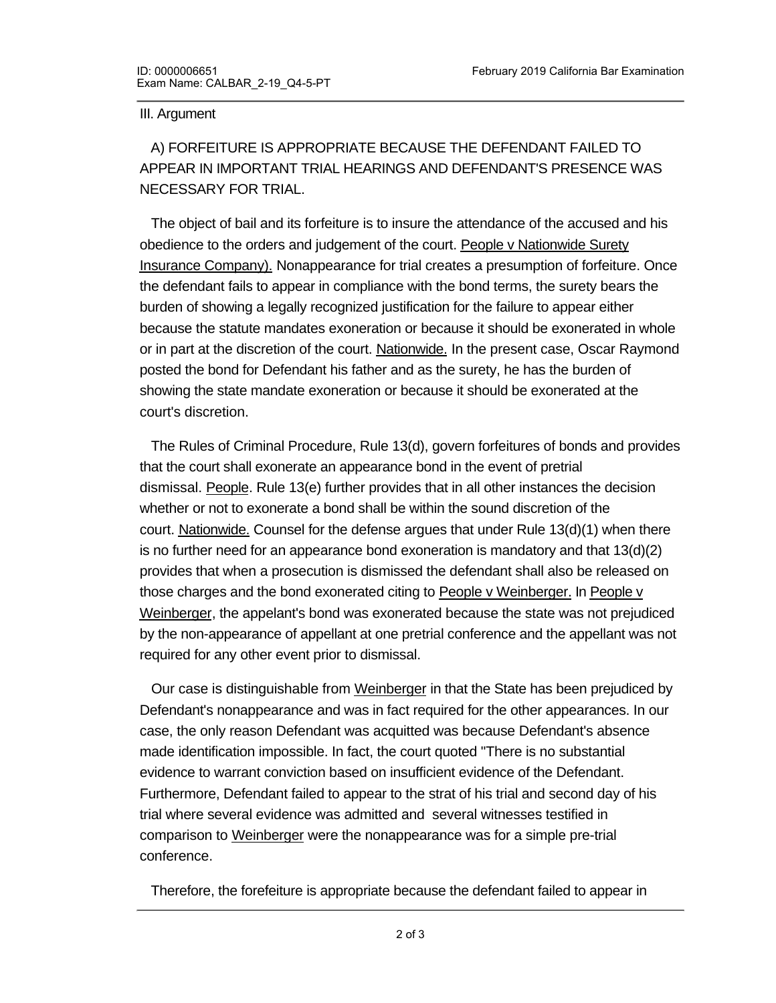#### III. Argument

 A) FORFEITURE IS APPROPRIATE BECAUSE THE DEFENDANT FAILED TO APPEAR IN IMPORTANT TRIAL HEARINGS AND DEFENDANT'S PRESENCE WAS NECESSARY FOR TRIAL.

 The object of bail and its forfeiture is to insure the attendance of the accused and his obedience to the orders and judgement of the court. People v Nationwide Surety Insurance Company). Nonappearance for trial creates a presumption of forfeiture. Once the defendant fails to appear in compliance with the bond terms, the surety bears the burden of showing a legally recognized justification for the failure to appear either because the statute mandates exoneration or because it should be exonerated in whole or in part at the discretion of the court. Nationwide. In the present case, Oscar Raymond posted the bond for Defendant his father and as the surety, he has the burden of showing the state mandate exoneration or because it should be exonerated at the court's discretion.

 The Rules of Criminal Procedure, Rule 13(d), govern forfeitures of bonds and provides that the court shall exonerate an appearance bond in the event of pretrial dismissal. People. Rule 13(e) further provides that in all other instances the decision whether or not to exonerate a bond shall be within the sound discretion of the court. Nationwide. Counsel for the defense argues that under Rule 13(d)(1) when there is no further need for an appearance bond exoneration is mandatory and that 13(d)(2) provides that when a prosecution is dismissed the defendant shall also be released on those charges and the bond exonerated citing to People v Weinberger. In People v Weinberger, the appelant's bond was exonerated because the state was not prejudiced by the non-appearance of appellant at one pretrial conference and the appellant was not required for any other event prior to dismissal.

 Our case is distinguishable from Weinberger in that the State has been prejudiced by Defendant's nonappearance and was in fact required for the other appearances. In our case, the only reason Defendant was acquitted was because Defendant's absence made identification impossible. In fact, the court quoted "There is no substantial evidence to warrant conviction based on insufficient evidence of the Defendant. Furthermore, Defendant failed to appear to the strat of his trial and second day of his trial where several evidence was admitted and several witnesses testified in comparison to Weinberger were the nonappearance was for a simple pre-trial conference.

 Therefore, the forefeiture is appropriate because the defendant failed to appear in important trial hearings and the Defendant's presence was necessary for a trial and